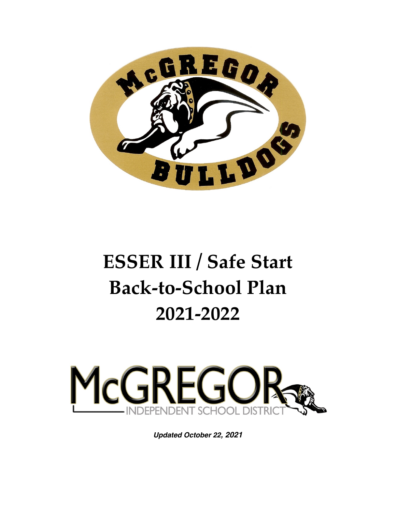

# **ESSER III / Safe Start Back-to-School Plan 2021-2022**



*Updated October 22, 2021*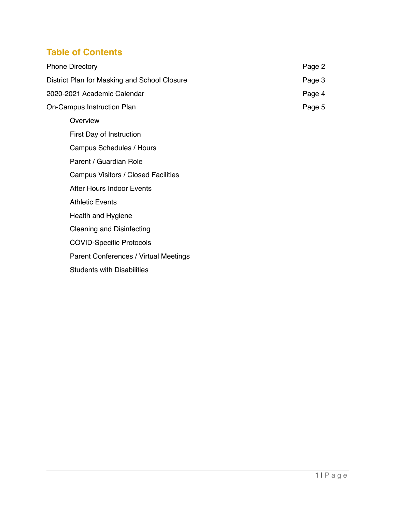# **Table of Contents**

|                             | <b>Phone Directory</b>                       | Page 2 |
|-----------------------------|----------------------------------------------|--------|
|                             | District Plan for Masking and School Closure | Page 3 |
| 2020-2021 Academic Calendar |                                              | Page 4 |
| On-Campus Instruction Plan  |                                              | Page 5 |
|                             | Overview                                     |        |
|                             | First Day of Instruction                     |        |
|                             | Campus Schedules / Hours                     |        |
|                             | Parent / Guardian Role                       |        |
|                             | <b>Campus Visitors / Closed Facilities</b>   |        |
|                             | After Hours Indoor Events                    |        |
|                             | <b>Athletic Events</b>                       |        |
|                             | Health and Hygiene                           |        |
|                             | <b>Cleaning and Disinfecting</b>             |        |
|                             | <b>COVID-Specific Protocols</b>              |        |
|                             | Parent Conferences / Virtual Meetings        |        |
|                             | <b>Students with Disabilities</b>            |        |
|                             |                                              |        |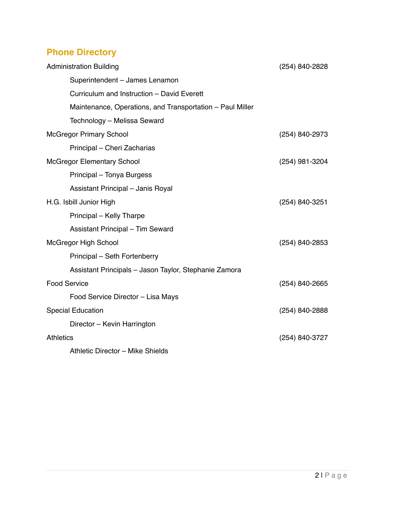# **Phone Directory**

| <b>Administration Building</b>                            | (254) 840-2828 |
|-----------------------------------------------------------|----------------|
| Superintendent - James Lenamon                            |                |
| Curriculum and Instruction - David Everett                |                |
| Maintenance, Operations, and Transportation – Paul Miller |                |
| Technology - Melissa Seward                               |                |
| <b>McGregor Primary School</b>                            | (254) 840-2973 |
| Principal - Cheri Zacharias                               |                |
| <b>McGregor Elementary School</b>                         | (254) 981-3204 |
| Principal - Tonya Burgess                                 |                |
| Assistant Principal - Janis Royal                         |                |
| H.G. Isbill Junior High                                   | (254) 840-3251 |
| Principal - Kelly Tharpe                                  |                |
| <b>Assistant Principal - Tim Seward</b>                   |                |
| <b>McGregor High School</b>                               | (254) 840-2853 |
| Principal - Seth Fortenberry                              |                |
| Assistant Principals - Jason Taylor, Stephanie Zamora     |                |
| <b>Food Service</b>                                       | (254) 840-2665 |
| Food Service Director - Lisa Mays                         |                |
| <b>Special Education</b>                                  | (254) 840-2888 |
| Director - Kevin Harrington                               |                |
| <b>Athletics</b>                                          | (254) 840-3727 |
| Athletic Director - Mike Shields                          |                |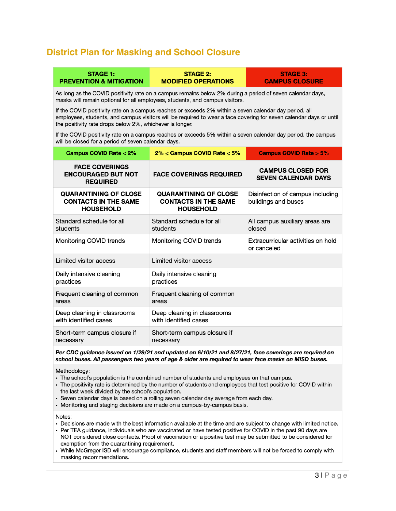## **District Plan for Masking and School Closure**

**STAGE 1:** 

#### **STAGE 2: PREVENTION & MITIGATION MODIFIED OPERATIONS**

**STAGE 3: CAMPUS CLOSURE** 

As long as the COVID positivity rate on a campus remains below 2% during a period of seven calendar days, masks will remain optional for all employees, students, and campus visitors.

If the COVID positivity rate on a campus reaches or exceeds 2% within a seven calendar day period, all employees, students, and campus visitors will be required to wear a face covering for seven calendar days or until the positivity rate drops below 2%, whichever is longer.

If the COVID positivity rate on a campus reaches or exceeds 5% within a seven calendar day period, the campus will be closed for a period of seven calendar days.

| <b>Campus COVID Rate &lt; 2%</b>                                                | $2\% \leq$ Campus COVID Rate $\leq 5\%$                                         | Campus COVID Rate $\geq 5\%$                            |
|---------------------------------------------------------------------------------|---------------------------------------------------------------------------------|---------------------------------------------------------|
| <b>FACE COVERINGS</b><br><b>ENCOURAGED BUT NOT</b><br><b>REQUIRED</b>           | <b>FACE COVERINGS REQUIRED</b>                                                  | <b>CAMPUS CLOSED FOR</b><br><b>SEVEN CALENDAR DAYS</b>  |
| <b>QUARANTINING OF CLOSE</b><br><b>CONTACTS IN THE SAME</b><br><b>HOUSEHOLD</b> | <b>QUARANTINING OF CLOSE</b><br><b>CONTACTS IN THE SAME</b><br><b>HOUSEHOLD</b> | Disinfection of campus including<br>buildings and buses |
| Standard schedule for all<br>students                                           | Standard schedule for all<br>students                                           | All campus auxiliary areas are<br>closed                |
| Monitoring COVID trends                                                         | Monitoring COVID trends                                                         | Extracurricular activities on hold<br>or canceled       |
| Limited visitor access                                                          | Limited visitor access                                                          |                                                         |
| Daily intensive cleaning<br>practices                                           | Daily intensive cleaning<br>practices                                           |                                                         |
| Frequent cleaning of common<br>areas                                            | Frequent cleaning of common<br>areas                                            |                                                         |
| Deep cleaning in classrooms<br>with identified cases                            | Deep cleaning in classrooms<br>with identified cases                            |                                                         |
| Short-term campus closure if<br>necessary                                       | Short-term campus closure if<br>necessary                                       |                                                         |

#### Per CDC guidance issued on 1/29/21 and updated on 6/10/21 and 8/27/21, face coverings are required on school buses. All passengers two years of age & older are required to wear face masks on MISD buses.

Methodology:

- The school's population is the combined number of students and employees on that campus.
- The positivity rate is determined by the number of students and employees that test positive for COVID within the last week divided by the school's population.
- · Seven calendar days is based on a rolling seven calendar day average from each day.
- Monitoring and staging decisions are made on a campus-by-campus basis.

Notes:

- · Decisions are made with the best information available at the time and are subject to change with limited notice.
- Per TEA guidance, individuals who are vaccinated or have tested positive for COVID in the past 90 days are NOT considered close contacts. Proof of vaccination or a positive test may be submitted to be considered for exemption from the quarantining requirement.
- While McGregor ISD will encourage compliance, students and staff members will not be forced to comply with masking recommendations.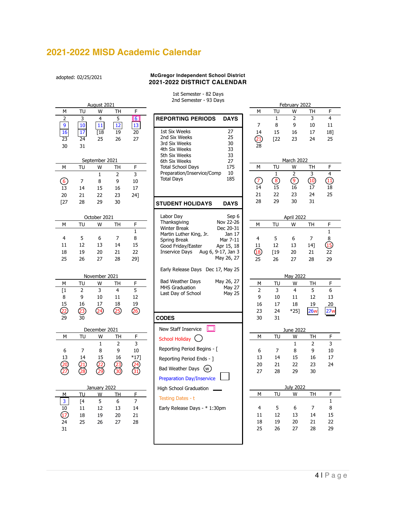# **2021-2022 MISD Academic Calendar**

adopted: 02/25/2021

#### **McGregor Independent School District 2021-2022 DISTRICT CALENDAR**

#### 1st Semester - 82 Days 2nd Semester - 93 Days

|                                                      | zna Semester - 93 Days                                              |                       |              |                     |                 |                           |
|------------------------------------------------------|---------------------------------------------------------------------|-----------------------|--------------|---------------------|-----------------|---------------------------|
| August 2021<br>F<br>TU<br>TH<br>М<br>W               |                                                                     | М                     | TU           | February 2022<br>W  | TH              | F                         |
| 2<br>3<br>4<br>5<br>$\boxed{6}$                      |                                                                     |                       | $\mathbf{1}$ | $\overline{2}$      | 3               | $\overline{4}$            |
| $\overline{9}$<br>12<br>43<br>10<br>11               | <b>REPORTING PERIODS</b><br><b>DAYS</b>                             | $\overline{7}$        | 8            | 9                   | 10              | 11                        |
| 16<br>$\lceil 18$<br>19<br>20                        | 1st Six Weeks<br>27                                                 | 14                    | 15           | 16                  | 17              | 18]                       |
| 17<br>23<br>$\overline{24}$<br>25<br>26<br>27        | 25<br>2nd Six Weeks                                                 | $\widehat{\text{21}}$ | $\sqrt{22}$  | 23                  | 24              | 25                        |
|                                                      | 3rd Six Weeks<br>30                                                 | 28                    |              |                     |                 |                           |
| 30<br>31                                             | 33<br>4th Six Weeks                                                 |                       |              |                     |                 |                           |
|                                                      | 33<br>5th Six Weeks                                                 |                       |              |                     |                 |                           |
| September 2021                                       | 27<br>6th Six Weeks                                                 |                       |              | March 2022          |                 |                           |
| F<br>М<br>TU<br>W<br>TН                              | <b>Total School Days</b><br>175<br>Preparation/Inservice/Comp<br>10 | М                     | TU           | W<br>$\overline{2}$ | TH              | F<br>$\overline{4}$       |
| $\mathbf{1}$<br>3<br>$\overline{2}$                  | 185<br><b>Total Days</b>                                            |                       | $\mathbf{1}$ |                     | 3               |                           |
| $\left($ <sup>6</sup><br>8<br>$10\,$<br>7<br>9       |                                                                     | ⑦                     | $\circledR$  | $\circledcirc$      | $\overline{10}$ | $\overline{\textbf{(1)}}$ |
| 13<br>14<br>15<br>16<br>17                           |                                                                     | 14                    | 15           | 16                  | 17              | 18                        |
| 22<br>23<br>20<br>21<br>24]                          |                                                                     | 21                    | 22           | 23                  | 24              | 25                        |
| $[27]$<br>29<br>30<br>28                             | <b>STUDENT HOLIDAYS</b><br><b>DAYS</b>                              | 28                    | 29           | 30                  | 31              |                           |
|                                                      |                                                                     |                       |              |                     |                 |                           |
| October 2021                                         | Labor Day<br>Sep 6                                                  |                       |              | April 2022          |                 |                           |
| TU<br>W<br>F<br>М<br>TH                              | Thanksgiving<br>Nov 22-26<br><b>Winter Break</b><br>Dec 20-31       | М                     | TU           | W                   | TH              | F.                        |
| $\mathbf{1}$                                         | Martin Luther King, Jr.<br>Jan 17                                   |                       |              |                     |                 | $\mathbf{1}$              |
| $\overline{4}$<br>5<br>$\overline{7}$<br>8<br>6      | Spring Break<br>Mar 7-11                                            | 4                     | 5            | 6                   | 7               | $\bf 8$                   |
| 12<br>13<br>15<br>11<br>14                           | Good Friday/Easter<br>Apr 15, 18                                    | 11                    | 12           | 13                  | $14$ ]          | $\overline{15}$           |
| 22<br>18<br>19<br>21<br>20                           | <b>Inservice Days</b><br>Aug 6, 9-17, Jan 3                         | 18                    | $[19]$       | 20                  | 21              | 22                        |
| 25<br>28<br>29]<br>26<br>27                          | May 26, 27                                                          | 25                    | 26           | 27                  | 28              | 29                        |
|                                                      | Early Release Days Dec 17, May 25                                   |                       |              |                     |                 |                           |
| November 2021                                        |                                                                     |                       |              | May 2022            |                 |                           |
| TU<br>F<br>М<br>W<br>TH                              | <b>Bad Weather Days</b><br>May 26, 27                               | М                     | TU           | W                   | TH              | F.                        |
| 3<br>5<br>[1<br>$\overline{2}$<br>$\overline{4}$     | <b>MHS Graduation</b><br><b>May 27</b>                              | $\overline{2}$        | 3            | $\overline{4}$      | 5               | 6                         |
| 9<br>12<br>8<br>10<br>11                             | <b>May 25</b><br>Last Day of School                                 | 9                     | 10           | 11                  | 12              | 13                        |
| 15<br>19<br>16<br>17<br>18                           |                                                                     | 16                    | 17           | 18                  | 19              | 20                        |
| $\overline{2}$<br>$\sqrt{24}$<br>$\sqrt{25}$<br>(26) |                                                                     | 23                    | 24           | $*25]$              | <b>26w</b>      | 27w                       |
| (23)<br>29<br>30                                     | <b>CODES</b>                                                        | 30                    | 31           |                     |                 |                           |
|                                                      |                                                                     |                       |              |                     |                 |                           |
| December 2021                                        | New Staff Inservice<br>٦I                                           |                       |              | June 2022           |                 |                           |
| TU<br>F<br>М<br>W<br>TH                              | School Holiday (                                                    | М                     | TU           | W                   | TH              | F.                        |
| 3<br>$\mathbf{1}$<br>$\overline{2}$                  |                                                                     |                       |              | $\mathbf{1}$        | $\overline{2}$  | 3                         |
| 6<br>8<br>9<br>10<br>7                               | Reporting Period Begins - [                                         | 6                     | 7            | 8                   | 9               | 10                        |
| $*17]$<br>13<br>15<br>16<br>14                       | Reporting Period Ends - ]                                           | 13                    | 14           | 15                  | 16              | 17                        |
|                                                      |                                                                     | 20                    | 21           | 22                  | 23              | 24                        |
| $\frac{24}{31}$<br>30                                | Bad Weather Days (w)                                                | 27                    | 28           | 29                  | 30              |                           |
|                                                      | <b>Preparation Day/Inservice</b>                                    |                       |              |                     |                 |                           |
| January 2022                                         | High School Graduation                                              |                       |              | <b>July 2022</b>    |                 |                           |
| TU<br>TH<br>F.<br>W<br>M                             |                                                                     | М                     | <b>TU</b>    | W                   | TH              | F.                        |
| $\overline{3}$<br>5<br>$\overline{7}$<br>$[4]$<br>6  | Testing Dates - t                                                   |                       |              |                     |                 | $\mathbf{1}$              |
| $\overline{10}$<br>13<br>14<br>11<br>12              | Early Release Days - * 1:30pm                                       | 4                     | 5            | 6                   | 7               | 8                         |
| 17<br>19<br>20<br>21<br>18                           |                                                                     | 11                    | 12           | 13                  | 14              | 15                        |
| 24<br>25<br>26<br>27<br>28                           |                                                                     | 18                    | 19           | 20                  | 21              | 22                        |
| 31                                                   |                                                                     | 25                    | 26           | 27                  | 28              | 29                        |
|                                                      |                                                                     |                       |              |                     |                 |                           |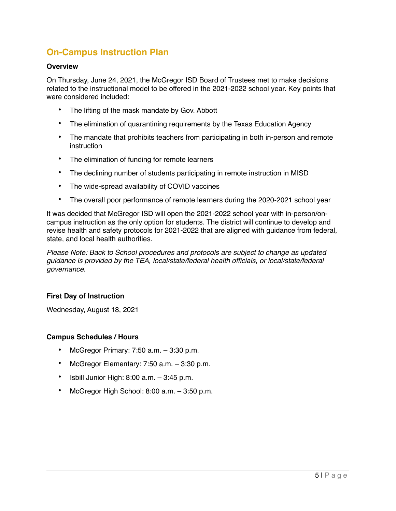## **On-Campus Instruction Plan**

## **Overview**

On Thursday, June 24, 2021, the McGregor ISD Board of Trustees met to make decisions related to the instructional model to be offered in the 2021-2022 school year. Key points that were considered included:

- The lifting of the mask mandate by Gov. Abbott
- The elimination of quarantining requirements by the Texas Education Agency
- The mandate that prohibits teachers from participating in both in-person and remote instruction
- The elimination of funding for remote learners
- The declining number of students participating in remote instruction in MISD
- The wide-spread availability of COVID vaccines
- The overall poor performance of remote learners during the 2020-2021 school year

It was decided that McGregor ISD will open the 2021-2022 school year with in-person/oncampus instruction as the only option for students. The district will continue to develop and revise health and safety protocols for 2021-2022 that are aligned with guidance from federal, state, and local health authorities.

*Please Note: Back to School procedures and protocols are subject to change as updated guidance is provided by the TEA, local/state/federal health officials, or local/state/federal governance.* 

### **First Day of Instruction**

Wednesday, August 18, 2021

### **Campus Schedules / Hours**

- McGregor Primary: 7:50 a.m. 3:30 p.m.
- McGregor Elementary: 7:50 a.m. 3:30 p.m.
- Isbill Junior High:  $8:00$  a.m.  $-3:45$  p.m.
- McGregor High School: 8:00 a.m. 3:50 p.m.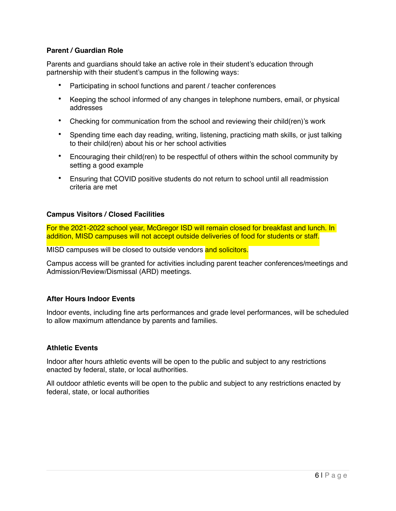## **Parent / Guardian Role**

Parents and guardians should take an active role in their student's education through partnership with their student's campus in the following ways:

- Participating in school functions and parent / teacher conferences
- Keeping the school informed of any changes in telephone numbers, email, or physical addresses
- Checking for communication from the school and reviewing their child(ren)'s work
- Spending time each day reading, writing, listening, practicing math skills, or just talking to their child(ren) about his or her school activities
- Encouraging their child(ren) to be respectful of others within the school community by setting a good example
- Ensuring that COVID positive students do not return to school until all readmission criteria are met

### **Campus Visitors / Closed Facilities**

For the 2021-2022 school year, McGregor ISD will remain closed for breakfast and lunch. In addition, MISD campuses will not accept outside deliveries of food for students or staff.

MISD campuses will be closed to outside vendors and solicitors.

Campus access will be granted for activities including parent teacher conferences/meetings and Admission/Review/Dismissal (ARD) meetings.

### **After Hours Indoor Events**

Indoor events, including fine arts performances and grade level performances, will be scheduled to allow maximum attendance by parents and families.

### **Athletic Events**

Indoor after hours athletic events will be open to the public and subject to any restrictions enacted by federal, state, or local authorities.

All outdoor athletic events will be open to the public and subject to any restrictions enacted by federal, state, or local authorities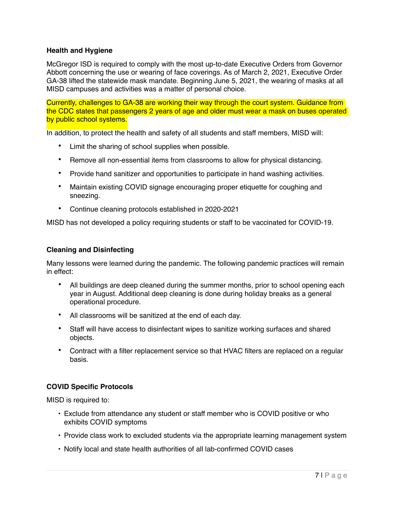## **Health and Hygiene**

McGregor ISD is required to comply with the most up-to-date Executive Orders from Governor Abbott concerning the use or wearing of face coverings. As of March 2, 2021, Executive Order GA-38 lifted the statewide mask mandate. Beginning June 5, 2021, the wearing of masks at all MISD campuses and activities was a matter of personal choice.

Currently, challenges to GA-38 are working their way through the court system. Guidance from the CDC states that passengers 2 years of age and older must wear a mask on buses operated by public school systems.

In addition, to protect the health and safety of all students and staff members, MISD will:

- Limit the sharing of school supplies when possible.
- Remove all non-essential items from classrooms to allow for physical distancing.
- Provide hand sanitizer and opportunities to participate in hand washing activities.
- Maintain existing COVID signage encouraging proper etiquette for coughing and sneezing.
- Continue cleaning protocols established in 2020-2021

MISD has not developed a policy requiring students or staff to be vaccinated for COVID-19.

#### **Cleaning and Disinfecting**

Many lessons were learned during the pandemic. The following pandemic practices will remain in effect:

- All buildings are deep cleaned during the summer months, prior to school opening each year in August. Additional deep cleaning is done during holiday breaks as a general operational procedure.
- All classrooms will be sanitized at the end of each day.
- Staff will have access to disinfectant wipes to sanitize working surfaces and shared objects.
- Contract with a filter replacement service so that HVAC filters are replaced on a regular basis.

### **COVID Specific Protocols**

MISD is required to:

- Exclude from attendance any student or staff member who is COVID positive or who exhibits COVID symptoms
- Provide class work to excluded students via the appropriate learning management system
- Notify local and state health authorities of all lab-confirmed COVID cases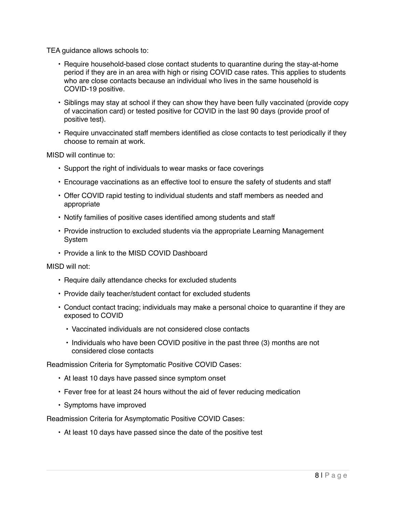TEA guidance allows schools to:

- Require household-based close contact students to quarantine during the stay-at-home period if they are in an area with high or rising COVID case rates. This applies to students who are close contacts because an individual who lives in the same household is COVID-19 positive.
- Siblings may stay at school if they can show they have been fully vaccinated (provide copy of vaccination card) or tested positive for COVID in the last 90 days (provide proof of positive test).
- Require unvaccinated staff members identified as close contacts to test periodically if they choose to remain at work.

MISD will continue to:

- Support the right of individuals to wear masks or face coverings
- Encourage vaccinations as an effective tool to ensure the safety of students and staff
- Offer COVID rapid testing to individual students and staff members as needed and appropriate
- Notify families of positive cases identified among students and staff
- Provide instruction to excluded students via the appropriate Learning Management System
- Provide a link to the MISD COVID Dashboard

MISD will not:

- Require daily attendance checks for excluded students
- Provide daily teacher/student contact for excluded students
- Conduct contact tracing; individuals may make a personal choice to quarantine if they are exposed to COVID
	- Vaccinated individuals are not considered close contacts
	- Individuals who have been COVID positive in the past three (3) months are not considered close contacts

Readmission Criteria for Symptomatic Positive COVID Cases:

- At least 10 days have passed since symptom onset
- Fever free for at least 24 hours without the aid of fever reducing medication
- Symptoms have improved

Readmission Criteria for Asymptomatic Positive COVID Cases:

• At least 10 days have passed since the date of the positive test